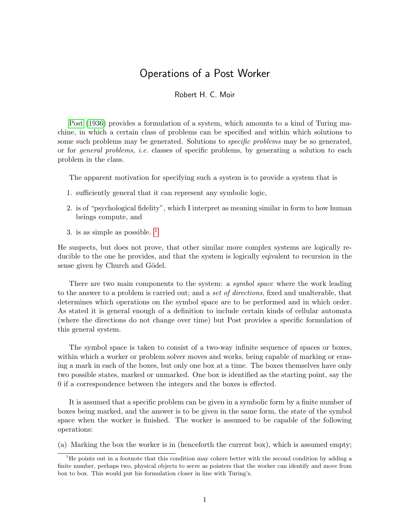## Operations of a Post Worker

## Robert H. C. Moir

[Post](#page-2-0) [\(1936\)](#page-2-0) provides a formulation of a system, which amounts to a kind of Turing machine, in which a certain class of problems can be specified and within which solutions to some such problems may be generated. Solutions to *specific problems* may be so generated, or for general problems, i.e. classes of specific problems, by generating a solution to each problem in the class.

The apparent motivation for specifying such a system is to provide a system that is

- 1. sufficiently general that it can represent any symbolic logic,
- 2. is of "psychological fidelity", which I interpret as meaning similar in form to how human beings compute, and
- 3. is as simple as possible.  $<sup>1</sup>$  $<sup>1</sup>$  $<sup>1</sup>$ </sup>

He suspects, but does not prove, that other similar more complex systems are logically reducible to the one he provides, and that the system is logically eqivalent to recursion in the sense given by Church and Gödel.

There are two main components to the system: a *symbol space* where the work leading to the answer to a problem is carried out; and a set of directions, fixed and unalterable, that determines which operations on the symbol space are to be performed and in which order. As stated it is general enough of a definition to include certain kinds of cellular automata (where the directions do not change over time) but Post provides a specific formulation of this general system.

The symbol space is taken to consist of a two-way infinite sequence of spaces or boxes, within which a worker or problem solver moves and works, being capable of marking or erasing a mark in each of the boxes, but only one box at a time. The boxes themselves have only two possible states, marked or unmarked. One box is identified as the starting point, say the 0 if a correspondence between the integers and the boxes is effected.

It is assumed that a specific problem can be given in a symbolic form by a finite number of boxes being marked, and the answer is to be given in the same form, the state of the symbol space when the worker is finished. The worker is assumed to be capable of the following operations:

(a) Marking the box the worker is in (henceforth the current box), which is assumed empty;

<span id="page-0-0"></span><sup>&</sup>lt;sup>1</sup>He points out in a footnote that this condition may cohere better with the second condition by adding a finite number, perhaps two, physical objects to serve as pointers that the worker can identify and move from box to box. This would put his formulation closer in line with Turing's.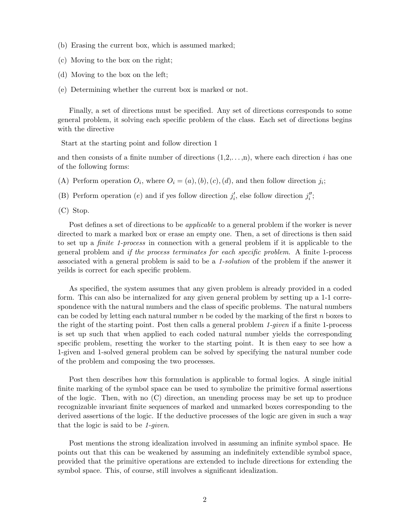- (b) Erasing the current box, which is assumed marked;
- (c) Moving to the box on the right;
- (d) Moving to the box on the left;
- (e) Determining whether the current box is marked or not.

Finally, a set of directions must be specified. Any set of directions corresponds to some general problem, it solving each specific problem of the class. Each set of directions begins with the directive

Start at the starting point and follow direction 1

and then consists of a finite number of directions  $(1,2,\ldots,n)$ , where each direction i has one of the following forms:

- (A) Perform operation  $O_i$ , where  $O_i = (a)$ ,  $(b)$ ,  $(c)$ ,  $(d)$ , and then follow direction  $j_i$ ;
- (B) Perform operation  $(e)$  and if yes follow direction  $j'_{i}$ , else follow direction  $j''_{i}$ ;
- (C) Stop.

Post defines a set of directions to be applicable to a general problem if the worker is never directed to mark a marked box or erase an empty one. Then, a set of directions is then said to set up a finite 1-process in connection with a general problem if it is applicable to the general problem and if the process terminates for each specific problem. A finite 1-process associated with a general problem is said to be a 1-solution of the problem if the answer it yeilds is correct for each specific problem.

As specified, the system assumes that any given problem is already provided in a coded form. This can also be internalized for any given general problem by setting up a 1-1 correspondence with the natural numbers and the class of specific problems. The natural numbers can be coded by letting each natural number n be coded by the marking of the first n boxes to the right of the starting point. Post then calls a general problem 1-given if a finite 1-process is set up such that when applied to each coded natural number yields the corresponding specific problem, resetting the worker to the starting point. It is then easy to see how a 1-given and 1-solved general problem can be solved by specifying the natural number code of the problem and composing the two processes.

Post then describes how this formulation is applicable to formal logics. A single initial finite marking of the symbol space can be used to symbolize the primitive formal assertions of the logic. Then, with no (C) direction, an unending process may be set up to produce recognizable invariant finite sequences of marked and unmarked boxes corresponding to the derived assertions of the logic. If the deductive processes of the logic are given in such a way that the logic is said to be 1-given.

Post mentions the strong idealization involved in assuming an infinite symbol space. He points out that this can be weakened by assuming an indefinitely extendible symbol space, provided that the primitive operations are extended to include directions for extending the symbol space. This, of course, still involves a significant idealization.